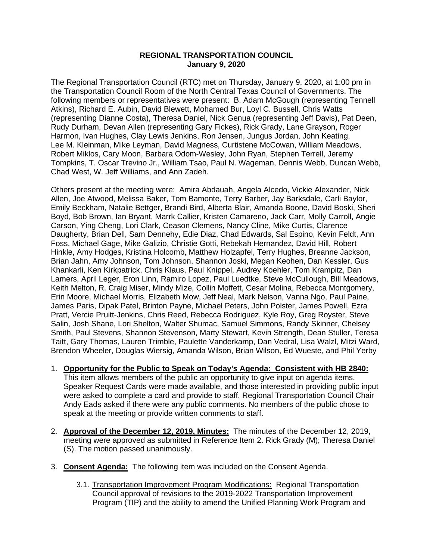## **REGIONAL TRANSPORTATION COUNCIL January 9, 2020**

The Regional Transportation Council (RTC) met on Thursday, January 9, 2020, at 1:00 pm in the Transportation Council Room of the North Central Texas Council of Governments. The following members or representatives were present: B. Adam McGough (representing Tennell Atkins), Richard E. Aubin, David Blewett, Mohamed Bur, Loyl C. Bussell, Chris Watts (representing Dianne Costa), Theresa Daniel, Nick Genua (representing Jeff Davis), Pat Deen, Rudy Durham, Devan Allen (representing Gary Fickes), Rick Grady, Lane Grayson, Roger Harmon, Ivan Hughes, Clay Lewis Jenkins, Ron Jensen, Jungus Jordan, John Keating, Lee M. Kleinman, Mike Leyman, David Magness, Curtistene McCowan, William Meadows, Robert Miklos, Cary Moon, Barbara Odom-Wesley, John Ryan, Stephen Terrell, Jeremy Tompkins, T. Oscar Trevino Jr., William Tsao, Paul N. Wageman, Dennis Webb, Duncan Webb, Chad West, W. Jeff Williams, and Ann Zadeh.

Others present at the meeting were: Amira Abdauah, Angela Alcedo, Vickie Alexander, Nick Allen, Joe Atwood, Melissa Baker, Tom Bamonte, Terry Barber, Jay Barksdale, Carli Baylor, Emily Beckham, Natalie Bettger, Brandi Bird, Alberta Blair, Amanda Boone, David Boski, Sheri Boyd, Bob Brown, Ian Bryant, Marrk Callier, Kristen Camareno, Jack Carr, Molly Carroll, Angie Carson, Ying Cheng, Lori Clark, Ceason Clemens, Nancy Cline, Mike Curtis, Clarence Daugherty, Brian Dell, Sam Dennehy, Edie Diaz, Chad Edwards, Sal Espino, Kevin Feldt, Ann Foss, Michael Gage, Mike Galizio, Christie Gotti, Rebekah Hernandez, David Hill, Robert Hinkle, Amy Hodges, Kristina Holcomb, Matthew Holzapfel, Terry Hughes, Breanne Jackson, Brian Jahn, Amy Johnson, Tom Johnson, Shannon Joski, Megan Keohen, Dan Kessler, Gus Khankarli, Ken Kirkpatrick, Chris Klaus, Paul Knippel, Audrey Koehler, Tom Krampitz, Dan Lamers, April Leger, Eron Linn, Ramiro Lopez, Paul Luedtke, Steve McCullough, Bill Meadows, Keith Melton, R. Craig Miser, Mindy Mize, Collin Moffett, Cesar Molina, Rebecca Montgomery, Erin Moore, Michael Morris, Elizabeth Mow, Jeff Neal, Mark Nelson, Vanna Ngo, Paul Paine, James Paris, Dipak Patel, Brinton Payne, Michael Peters, John Polster, James Powell, Ezra Pratt, Vercie Pruitt-Jenkins, Chris Reed, Rebecca Rodriguez, Kyle Roy, Greg Royster, Steve Salin, Josh Shane, Lori Shelton, Walter Shumac, Samuel Simmons, Randy Skinner, Chelsey Smith, Paul Stevens, Shannon Stevenson, Marty Stewart, Kevin Strength, Dean Stuller, Teresa Taitt, Gary Thomas, Lauren Trimble, Paulette Vanderkamp, Dan Vedral, Lisa Walzl, Mitzi Ward, Brendon Wheeler, Douglas Wiersig, Amanda Wilson, Brian Wilson, Ed Wueste, and Phil Yerby

1. **Opportunity for the Public to Speak on Today's Agenda: Consistent with HB 2840:**

This item allows members of the public an opportunity to give input on agenda items. Speaker Request Cards were made available, and those interested in providing public input were asked to complete a card and provide to staff. Regional Transportation Council Chair Andy Eads asked if there were any public comments. No members of the public chose to speak at the meeting or provide written comments to staff.

- 2. **Approval of the December 12, 2019, Minutes:** The minutes of the December 12, 2019, meeting were approved as submitted in Reference Item 2. Rick Grady (M); Theresa Daniel (S). The motion passed unanimously.
- 3. **Consent Agenda:** The following item was included on the Consent Agenda.
	- 3.1. Transportation Improvement Program Modifications: Regional Transportation Council approval of revisions to the 2019-2022 Transportation Improvement Program (TIP) and the ability to amend the Unified Planning Work Program and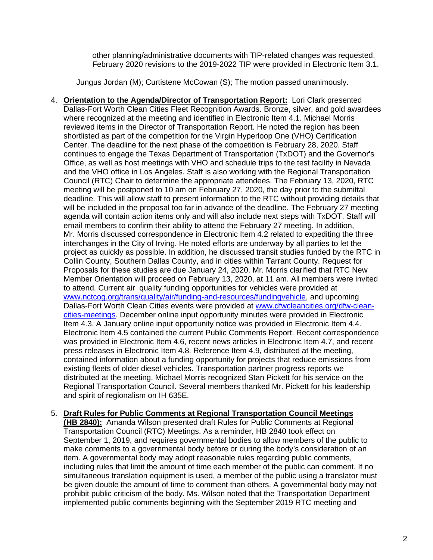other planning/administrative documents with TIP-related changes was requested. February 2020 revisions to the 2019-2022 TIP were provided in Electronic Item 3.1.

Jungus Jordan (M); Curtistene McCowan (S); The motion passed unanimously.

- 4. **Orientation to the Agenda/Director of Transportation Report:** Lori Clark presented Dallas-Fort Worth Clean Cities Fleet Recognition Awards. Bronze, silver, and gold awardees where recognized at the meeting and identified in Electronic Item 4.1. Michael Morris reviewed items in the Director of Transportation Report. He noted the region has been shortlisted as part of the competition for the Virgin Hyperloop One (VHO) Certification Center. The deadline for the next phase of the competition is February 28, 2020. Staff continues to engage the Texas Department of Transportation (TxDOT) and the Governor's Office, as well as host meetings with VHO and schedule trips to the test facility in Nevada and the VHO office in Los Angeles. Staff is also working with the Regional Transportation Council (RTC) Chair to determine the appropriate attendees. The February 13, 2020, RTC meeting will be postponed to 10 am on February 27, 2020, the day prior to the submittal deadline. This will allow staff to present information to the RTC without providing details that will be included in the proposal too far in advance of the deadline. The February 27 meeting agenda will contain action items only and will also include next steps with TxDOT. Staff will email members to confirm their ability to attend the February 27 meeting. In addition, Mr. Morris discussed correspondence in Electronic Item 4.2 related to expediting the three interchanges in the City of Irving. He noted efforts are underway by all parties to let the project as quickly as possible. In addition, he discussed transit studies funded by the RTC in Collin County, Southern Dallas County, and in cities within Tarrant County. Request for Proposals for these studies are due January 24, 2020. Mr. Morris clarified that RTC New Member Orientation will proceed on February 13, 2020, at 11 am. All members were invited to attend. Current air quality funding opportunities for vehicles were provided at [www.nctcog.org/trans/quality/air/funding-and-resources/fundingvehicle,](http://www.nctcog.org/trans/quality/air/funding-and-resources/fundingvehicle) and upcoming Dallas-Fort Worth Clean Cities events were provided at [www.dfwcleancities.org/dfw-clean](http://www.dfwcleancities.org/dfw-clean-cities-meetings)[cities-meetings.](http://www.dfwcleancities.org/dfw-clean-cities-meetings) December online input opportunity minutes were provided in Electronic Item 4.3. A January online input opportunity notice was provided in Electronic Item 4.4. Electronic Item 4.5 contained the current Public Comments Report. Recent correspondence was provided in Electronic Item 4.6, recent news articles in Electronic Item 4.7, and recent press releases in Electronic Item 4.8. Reference Item 4.9, distributed at the meeting, contained information about a funding opportunity for projects that reduce emissions from existing fleets of older diesel vehicles. Transportation partner progress reports we distributed at the meeting. Michael Morris recognized Stan Pickett for his service on the Regional Transportation Council. Several members thanked Mr. Pickett for his leadership and spirit of regionalism on IH 635E.
- 5. **Draft Rules for Public Comments at Regional Transportation Council Meetings (HB 2840):** Amanda Wilson presented draft Rules for Public Comments at Regional Transportation Council (RTC) Meetings. As a reminder, HB 2840 took effect on September 1, 2019, and requires governmental bodies to allow members of the public to make comments to a governmental body before or during the body's consideration of an item. A governmental body may adopt reasonable rules regarding public comments, including rules that limit the amount of time each member of the public can comment. If no simultaneous translation equipment is used, a member of the public using a translator must be given double the amount of time to comment than others. A governmental body may not prohibit public criticism of the body. Ms. Wilson noted that the Transportation Department implemented public comments beginning with the September 2019 RTC meeting and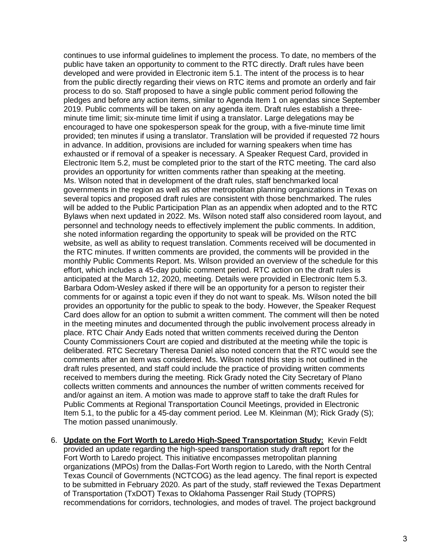continues to use informal guidelines to implement the process. To date, no members of the public have taken an opportunity to comment to the RTC directly. Draft rules have been developed and were provided in Electronic item 5.1. The intent of the process is to hear from the public directly regarding their views on RTC items and promote an orderly and fair process to do so. Staff proposed to have a single public comment period following the pledges and before any action items, similar to Agenda Item 1 on agendas since September 2019. Public comments will be taken on any agenda item. Draft rules establish a threeminute time limit; six-minute time limit if using a translator. Large delegations may be encouraged to have one spokesperson speak for the group, with a five-minute time limit provided; ten minutes if using a translator. Translation will be provided if requested 72 hours in advance. In addition, provisions are included for warning speakers when time has exhausted or if removal of a speaker is necessary. A Speaker Request Card, provided in Electronic Item 5.2, must be completed prior to the start of the RTC meeting. The card also provides an opportunity for written comments rather than speaking at the meeting. Ms. Wilson noted that in development of the draft rules, staff benchmarked local governments in the region as well as other metropolitan planning organizations in Texas on several topics and proposed draft rules are consistent with those benchmarked. The rules will be added to the Public Participation Plan as an appendix when adopted and to the RTC Bylaws when next updated in 2022. Ms. Wilson noted staff also considered room layout, and personnel and technology needs to effectively implement the public comments. In addition, she noted information regarding the opportunity to speak will be provided on the RTC website, as well as ability to request translation. Comments received will be documented in the RTC minutes. If written comments are provided, the comments will be provided in the monthly Public Comments Report. Ms. Wilson provided an overview of the schedule for this effort, which includes a 45-day public comment period. RTC action on the draft rules is anticipated at the March 12, 2020, meeting. Details were provided in Electronic Item 5.3. Barbara Odom-Wesley asked if there will be an opportunity for a person to register their comments for or against a topic even if they do not want to speak. Ms. Wilson noted the bill provides an opportunity for the public to speak to the body. However, the Speaker Request Card does allow for an option to submit a written comment. The comment will then be noted in the meeting minutes and documented through the public involvement process already in place. RTC Chair Andy Eads noted that written comments received during the Denton County Commissioners Court are copied and distributed at the meeting while the topic is deliberated. RTC Secretary Theresa Daniel also noted concern that the RTC would see the comments after an item was considered. Ms. Wilson noted this step is not outlined in the draft rules presented, and staff could include the practice of providing written comments received to members during the meeting. Rick Grady noted the City Secretary of Plano collects written comments and announces the number of written comments received for and/or against an item. A motion was made to approve staff to take the draft Rules for Public Comments at Regional Transportation Council Meetings, provided in Electronic Item 5.1, to the public for a 45-day comment period. Lee M. Kleinman (M); Rick Grady (S); The motion passed unanimously.

6. **Update on the Fort Worth to Laredo High-Speed Transportation Study:** Kevin Feldt provided an update regarding the high-speed transportation study draft report for the Fort Worth to Laredo project. This initiative encompasses metropolitan planning organizations (MPOs) from the Dallas-Fort Worth region to Laredo, with the North Central Texas Council of Governments (NCTCOG) as the lead agency. The final report is expected to be submitted in February 2020. As part of the study, staff reviewed the Texas Department of Transportation (TxDOT) Texas to Oklahoma Passenger Rail Study (TOPRS) recommendations for corridors, technologies, and modes of travel. The project background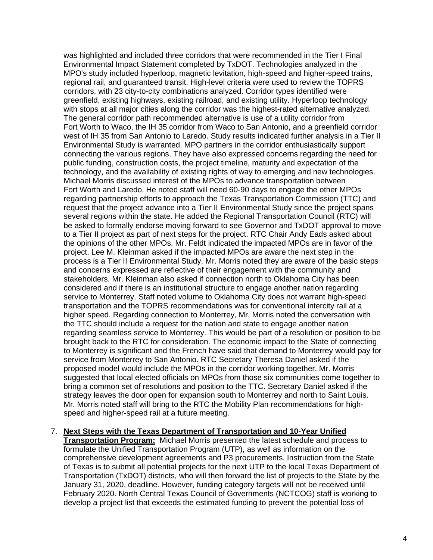was highlighted and included three corridors that were recommended in the Tier I Final Environmental Impact Statement completed by TxDOT. Technologies analyzed in the MPO's study included hyperloop, magnetic levitation, high-speed and higher-speed trains, regional rail, and guaranteed transit. High-level criteria were used to review the TOPRS corridors, with 23 city-to-city combinations analyzed. Corridor types identified were greenfield, existing highways, existing railroad, and existing utility. Hyperloop technology with stops at all major cities along the corridor was the highest-rated alternative analyzed. The general corridor path recommended alternative is use of a utility corridor from Fort Worth to Waco, the IH 35 corridor from Waco to San Antonio, and a greenfield corridor west of IH 35 from San Antonio to Laredo. Study results indicated further analysis in a Tier II Environmental Study is warranted. MPO partners in the corridor enthusiastically support connecting the various regions. They have also expressed concerns regarding the need for public funding, construction costs, the project timeline, maturity and expectation of the technology, and the availability of existing rights of way to emerging and new technologies. Michael Morris discussed interest of the MPOs to advance transportation between Fort Worth and Laredo. He noted staff will need 60-90 days to engage the other MPOs regarding partnership efforts to approach the Texas Transportation Commission (TTC) and request that the project advance into a Tier II Environmental Study since the project spans several regions within the state. He added the Regional Transportation Council (RTC) will be asked to formally endorse moving forward to see Governor and TxDOT approval to move to a Tier II project as part of next steps for the project. RTC Chair Andy Eads asked about the opinions of the other MPOs. Mr. Feldt indicated the impacted MPOs are in favor of the project. Lee M. Kleinman asked if the impacted MPOs are aware the next step in the process is a Tier II Environmental Study. Mr. Morris noted they are aware of the basic steps and concerns expressed are reflective of their engagement with the community and stakeholders. Mr. Kleinman also asked if connection north to Oklahoma City has been considered and if there is an institutional structure to engage another nation regarding service to Monterrey. Staff noted volume to Oklahoma City does not warrant high-speed transportation and the TOPRS recommendations was for conventional intercity rail at a higher speed. Regarding connection to Monterrey, Mr. Morris noted the conversation with the TTC should include a request for the nation and state to engage another nation regarding seamless service to Monterrey. This would be part of a resolution or position to be brought back to the RTC for consideration. The economic impact to the State of connecting to Monterrey is significant and the French have said that demand to Monterrey would pay for service from Monterrey to San Antonio. RTC Secretary Theresa Daniel asked if the proposed model would include the MPOs in the corridor working together. Mr. Morris suggested that local elected officials on MPOs from those six communities come together to bring a common set of resolutions and position to the TTC. Secretary Daniel asked if the strategy leaves the door open for expansion south to Monterrey and north to Saint Louis. Mr. Morris noted staff will bring to the RTC the Mobility Plan recommendations for highspeed and higher-speed rail at a future meeting.

7. **Next Steps with the Texas Department of Transportation and 10-Year Unified Transportation Program:** Michael Morris presented the latest schedule and process to formulate the Unified Transportation Program (UTP), as well as information on the comprehensive development agreements and P3 procurements. Instruction from the State of Texas is to submit all potential projects for the next UTP to the local Texas Department of Transportation (TxDOT) districts, who will then forward the list of projects to the State by the January 31, 2020, deadline. However, funding category targets will not be received until February 2020. North Central Texas Council of Governments (NCTCOG) staff is working to develop a project list that exceeds the estimated funding to prevent the potential loss of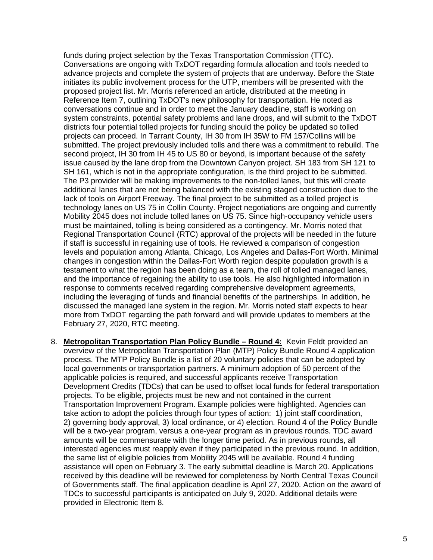funds during project selection by the Texas Transportation Commission (TTC). Conversations are ongoing with TxDOT regarding formula allocation and tools needed to advance projects and complete the system of projects that are underway. Before the State initiates its public involvement process for the UTP, members will be presented with the proposed project list. Mr. Morris referenced an article, distributed at the meeting in Reference Item 7, outlining TxDOT's new philosophy for transportation. He noted as conversations continue and in order to meet the January deadline, staff is working on system constraints, potential safety problems and lane drops, and will submit to the TxDOT districts four potential tolled projects for funding should the policy be updated so tolled projects can proceed. In Tarrant County, IH 30 from IH 35W to FM 157/Collins will be submitted. The project previously included tolls and there was a commitment to rebuild. The second project, IH 30 from IH 45 to US 80 or beyond, is important because of the safety issue caused by the lane drop from the Downtown Canyon project. SH 183 from SH 121 to SH 161, which is not in the appropriate configuration, is the third project to be submitted. The P3 provider will be making improvements to the non-tolled lanes, but this will create additional lanes that are not being balanced with the existing staged construction due to the lack of tools on Airport Freeway. The final project to be submitted as a tolled project is technology lanes on US 75 in Collin County. Project negotiations are ongoing and currently Mobility 2045 does not include tolled lanes on US 75. Since high-occupancy vehicle users must be maintained, tolling is being considered as a contingency. Mr. Morris noted that Regional Transportation Council (RTC) approval of the projects will be needed in the future if staff is successful in regaining use of tools. He reviewed a comparison of congestion levels and population among Atlanta, Chicago, Los Angeles and Dallas-Fort Worth. Minimal changes in congestion within the Dallas-Fort Worth region despite population growth is a testament to what the region has been doing as a team, the roll of tolled managed lanes, and the importance of regaining the ability to use tools. He also highlighted information in response to comments received regarding comprehensive development agreements, including the leveraging of funds and financial benefits of the partnerships. In addition, he discussed the managed lane system in the region. Mr. Morris noted staff expects to hear more from TxDOT regarding the path forward and will provide updates to members at the February 27, 2020, RTC meeting.

8. **Metropolitan Transportation Plan Policy Bundle – Round 4:** Kevin Feldt provided an overview of the Metropolitan Transportation Plan (MTP) Policy Bundle Round 4 application process. The MTP Policy Bundle is a list of 20 voluntary policies that can be adopted by local governments or transportation partners. A minimum adoption of 50 percent of the applicable policies is required, and successful applicants receive Transportation Development Credits (TDCs) that can be used to offset local funds for federal transportation projects. To be eligible, projects must be new and not contained in the current Transportation Improvement Program. Example policies were highlighted. Agencies can take action to adopt the policies through four types of action: 1) joint staff coordination, 2) governing body approval, 3) local ordinance, or 4) election. Round 4 of the Policy Bundle will be a two-year program, versus a one-year program as in previous rounds. TDC award amounts will be commensurate with the longer time period. As in previous rounds, all interested agencies must reapply even if they participated in the previous round. In addition, the same list of eligible policies from Mobility 2045 will be available. Round 4 funding assistance will open on February 3. The early submittal deadline is March 20. Applications received by this deadline will be reviewed for completeness by North Central Texas Council of Governments staff. The final application deadline is April 27, 2020. Action on the award of TDCs to successful participants is anticipated on July 9, 2020. Additional details were provided in Electronic Item 8.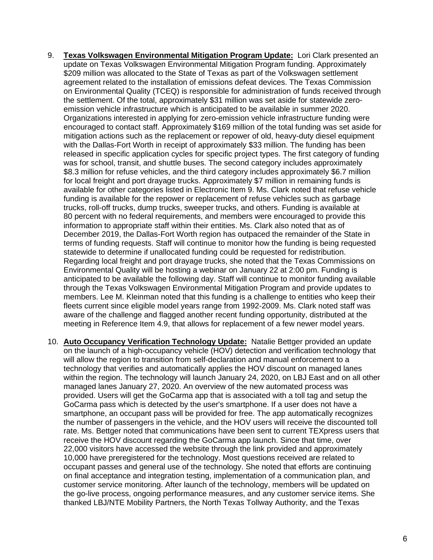- 9. **Texas Volkswagen Environmental Mitigation Program Update:** Lori Clark presented an update on Texas Volkswagen Environmental Mitigation Program funding. Approximately \$209 million was allocated to the State of Texas as part of the Volkswagen settlement agreement related to the installation of emissions defeat devices. The Texas Commission on Environmental Quality (TCEQ) is responsible for administration of funds received through the settlement. Of the total, approximately \$31 million was set aside for statewide zeroemission vehicle infrastructure which is anticipated to be available in summer 2020. Organizations interested in applying for zero-emission vehicle infrastructure funding were encouraged to contact staff. Approximately \$169 million of the total funding was set aside for mitigation actions such as the replacement or repower of old, heavy-duty diesel equipment with the Dallas-Fort Worth in receipt of approximately \$33 million. The funding has been released in specific application cycles for specific project types. The first category of funding was for school, transit, and shuttle buses. The second category includes approximately \$8.3 million for refuse vehicles, and the third category includes approximately \$6.7 million for local freight and port drayage trucks. Approximately \$7 million in remaining funds is available for other categories listed in Electronic Item 9. Ms. Clark noted that refuse vehicle funding is available for the repower or replacement of refuse vehicles such as garbage trucks, roll-off trucks, dump trucks, sweeper trucks, and others. Funding is available at 80 percent with no federal requirements, and members were encouraged to provide this information to appropriate staff within their entities. Ms. Clark also noted that as of December 2019, the Dallas-Fort Worth region has outpaced the remainder of the State in terms of funding requests. Staff will continue to monitor how the funding is being requested statewide to determine if unallocated funding could be requested for redistribution. Regarding local freight and port drayage trucks, she noted that the Texas Commissions on Environmental Quality will be hosting a webinar on January 22 at 2:00 pm. Funding is anticipated to be available the following day. Staff will continue to monitor funding available through the Texas Volkswagen Environmental Mitigation Program and provide updates to members. Lee M. Kleinman noted that this funding is a challenge to entities who keep their fleets current since eligible model years range from 1992-2009. Ms. Clark noted staff was aware of the challenge and flagged another recent funding opportunity, distributed at the meeting in Reference Item 4.9, that allows for replacement of a few newer model years.
- 10. **Auto Occupancy Verification Technology Update:** Natalie Bettger provided an update on the launch of a high-occupancy vehicle (HOV) detection and verification technology that will allow the region to transition from self-declaration and manual enforcement to a technology that verifies and automatically applies the HOV discount on managed lanes within the region. The technology will launch January 24, 2020, on LBJ East and on all other managed lanes January 27, 2020. An overview of the new automated process was provided. Users will get the GoCarma app that is associated with a toll tag and setup the GoCarma pass which is detected by the user's smartphone. If a user does not have a smartphone, an occupant pass will be provided for free. The app automatically recognizes the number of passengers in the vehicle, and the HOV users will receive the discounted toll rate. Ms. Bettger noted that communications have been sent to current TEXpress users that receive the HOV discount regarding the GoCarma app launch. Since that time, over 22,000 visitors have accessed the website through the link provided and approximately 10,000 have preregistered for the technology. Most questions received are related to occupant passes and general use of the technology. She noted that efforts are continuing on final acceptance and integration testing, implementation of a communication plan, and customer service monitoring. After launch of the technology, members will be updated on the go-live process, ongoing performance measures, and any customer service items. She thanked LBJ/NTE Mobility Partners, the North Texas Tollway Authority, and the Texas